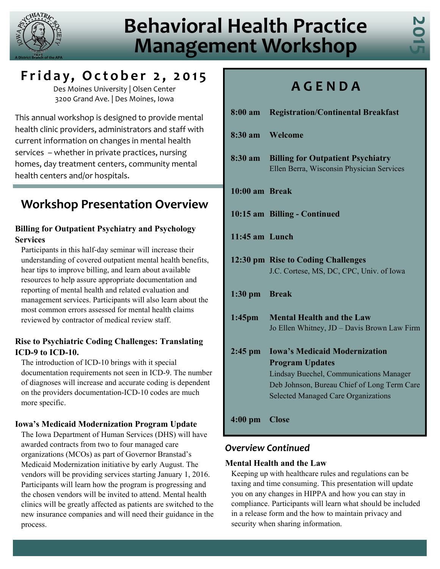

# **Behavioral Health Practice Management Workshop**



### **Friday, October 2 , 2015**

Des Moines University | Olsen Center 3200 Grand Ave. | Des Moines, Iowa

This annual workshop is designed to provide mental health clinic providers, administrators and staff with current information on changes in mental health services – whether in private practices, nursing homes, day treatment centers, community mental health centers and/or hospitals.

### **Workshop Presentation Overview**

### **Billing for Outpatient Psychiatry and Psychology Services**

Participants in this half-day seminar will increase their understanding of covered outpatient mental health benefits, hear tips to improve billing, and learn about available resources to help assure appropriate documentation and reporting of mental health and related evaluation and management services. Participants will also learn about the most common errors assessed for mental health claims reviewed by contractor of medical review staff.

### **Rise to Psychiatric Coding Challenges: Translating ICD-9 to ICD-10.**

The introduction of ICD-10 brings with it special documentation requirements not seen in ICD-9. The number of diagnoses will increase and accurate coding is dependent on the providers documentation-ICD-10 codes are much more specific.

### **Iowa's Medicaid Modernization Program Update**

The Iowa Department of Human Services (DHS) will have awarded contracts from two to four managed care organizations (MCOs) as part of Governor Branstad's Medicaid Modernization initiative by early August. The vendors will be providing services starting January 1, 2016. Participants will learn how the program is progressing and the chosen vendors will be invited to attend. Mental health clinics will be greatly affected as patients are switched to the new insurance companies and will need their guidance in the process.

## **A G E N D A**

| 8:00 am           | <b>Registration/Continental Breakfast</b>                                                                                                                                                                     |  |  |
|-------------------|---------------------------------------------------------------------------------------------------------------------------------------------------------------------------------------------------------------|--|--|
| $8:30 \text{ am}$ | Welcome                                                                                                                                                                                                       |  |  |
| $8:30$ am         | <b>Billing for Outpatient Psychiatry</b><br>Ellen Berra, Wisconsin Physician Services                                                                                                                         |  |  |
| 10:00 am Break    |                                                                                                                                                                                                               |  |  |
|                   | 10:15 am Billing - Continued                                                                                                                                                                                  |  |  |
| $11:45$ am Lunch  |                                                                                                                                                                                                               |  |  |
|                   | 12:30 pm Rise to Coding Challenges<br>J.C. Cortese, MS, DC, CPC, Univ. of Iowa                                                                                                                                |  |  |
| $1:30$ pm         | <b>Break</b>                                                                                                                                                                                                  |  |  |
| $1:45$ pm         | <b>Mental Health and the Law</b><br>Jo Ellen Whitney, JD - Davis Brown Law Firm                                                                                                                               |  |  |
| $2:45$ pm         | <b>Iowa's Medicaid Modernization</b><br><b>Program Updates</b><br><b>Lindsay Buechel, Communications Manager</b><br>Deb Johnson, Bureau Chief of Long Term Care<br><b>Selected Managed Care Organizations</b> |  |  |
| $4:00$ pm         | <b>Close</b>                                                                                                                                                                                                  |  |  |

### *Overview Continued*

#### **Mental Health and the Law**

Keeping up with healthcare rules and regulations can be taxing and time consuming. This presentation will update you on any changes in HIPPA and how you can stay in compliance. Participants will learn what should be included in a release form and the how to maintain privacy and security when sharing information.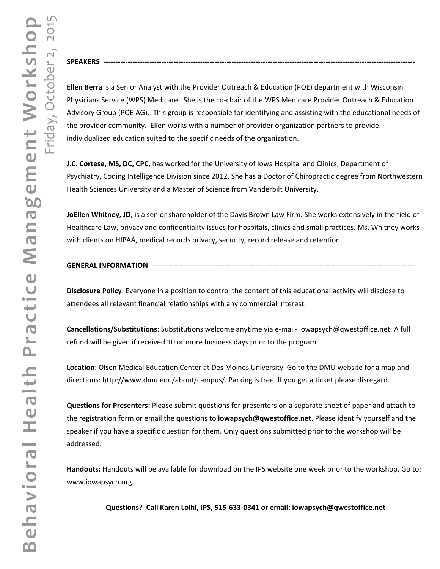**Ellen Berra** is a Senior Analyst with the Provider Outreach & Education (POE) department with Wisconsin Physicians Service (WPS) Medicare. She is the co‐chair of the WPS Medicare Provider Outreach & Education Advisory Group (POE AG). This group is responsible for identifying and assisting with the educational needs of the provider community. Ellen works with a number of provider organization partners to provide individualized education suited to the specific needs of the organization.

**J.C. Cortese, MS, DC, CPC**, has worked for the University of Iowa Hospital and Clinics, Department of Psychiatry, Coding Intelligence Division since 2012. She has a Doctor of Chiropractic degree from Northwestern Health Sciences University and a Master of Science from Vanderbilt University.

**JoEllen Whitney, JD**, is a senior shareholder of the Davis Brown Law Firm. She works extensively in the field of Healthcare Law, privacy and confidentiality issues for hospitals, clinics and small practices. Ms. Whitney works with clients on HIPAA, medical records privacy, security, record release and retention.

#### **GENERAL INFORMATION** ----------------

SPEAKERS -------------

Friday, October 2, 2015

 $201$ 

**Disclosure Policy**: Everyone in a position to control the content of this educational activity will disclose to attendees all relevant financial relationships with any commercial interest.

**Cancellations/Substitutions**: Substitutions welcome anytime via e‐mail‐ [iowapsych@qwestoffice.net](mailto:www.iowapsych.org?subject=Behavioral%20Health%20Practice%20Management%20Workshop%202015). A full refund will be given if received 10 or more business days prior to the program.

**Location**: Olsen Medical Education Center at Des Moines University. Go to the DMU website for a map and directions: <http://www.dmu.edu/about/campus/> Parking is free. If you get a ticket please disregard.

**Questions for Presenters:** Please submit questions for presenters on a separate sheet of paper and attach to the registration form or email the questions to **[iowapsych@qwestoffice.net](mailto:www.iowapsych.org?subject=Behavioral%20Health%20Practice%20Management%20Workshop%202015)**. Please identify yourself and the speaker if you have a specific question for them. Only questions submitted prior to the workshop will be addressed.

**Handouts:** Handouts will be available for download on the IPS website one week prior to the workshop. Go to: [www.iowapsych.org](http://www.iowapsych.org).

**Questions? Call Karen Loihl, IPS, 515‐633‐0341 or email: [iowapsych@qwestoffice.net](mailto:www.iowapsych.org?subject=Behavioral%20Health%20Practice%20Management%20Workshop%202015)**